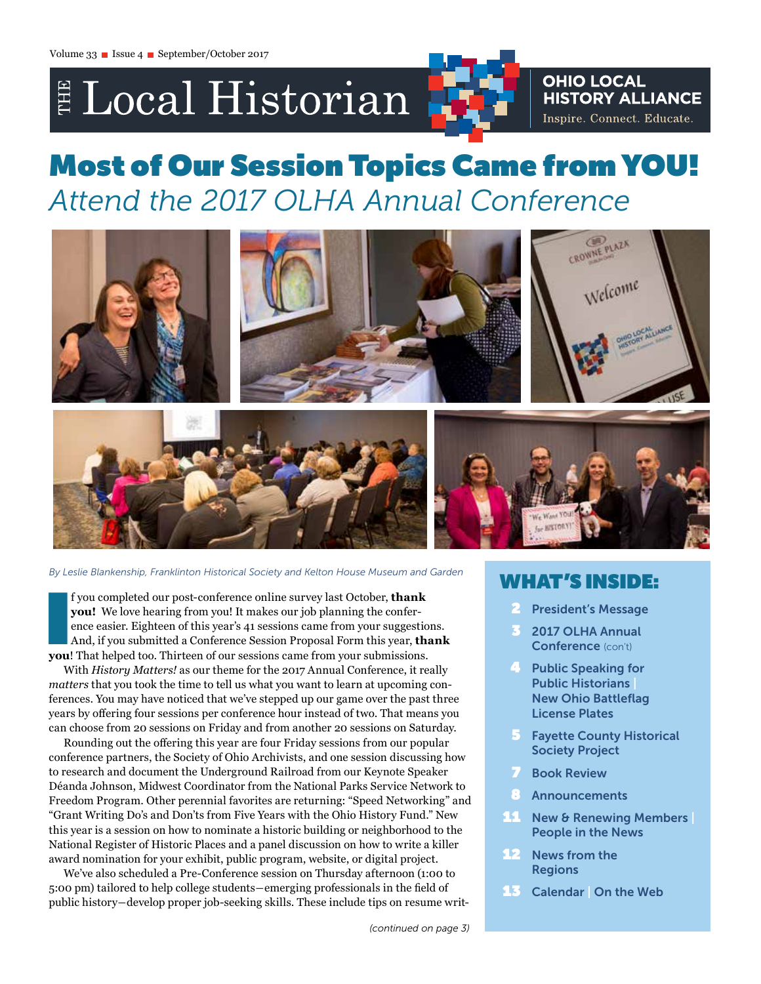# E Local Historian

# **OHIO LOCAL HISTORY ALLIANCE** Inspire. Connect. Educate.

# Most of Our Session Topics Came from YOU! *Attend the 2017 OLHA Annual Conference*



*By Leslie Blankenship, Franklinton Historical Society and Kelton House Museum and Garden*

I f you completed our post-conference online survey last October, **thank** you! We love hearing from you! It makes our job planning the conference easier. Eighteen of this year's 41 sessions came from your suggestic And, if **you!** We love hearing from you! It makes our job planning the conference easier. Eighteen of this year's 41 sessions came from your suggestions. And, if you submitted a Conference Session Proposal Form this year, **thank you**! That helped too. Thirteen of our sessions came from your submissions.

With *History Matters!* as our theme for the 2017 Annual Conference, it really *matters* that you took the time to tell us what you want to learn at upcoming conferences. You may have noticed that we've stepped up our game over the past three years by offering four sessions per conference hour instead of two. That means you can choose from 20 sessions on Friday and from another 20 sessions on Saturday.

Rounding out the offering this year are four Friday sessions from our popular conference partners, the Society of Ohio Archivists, and one session discussing how to research and document the Underground Railroad from our Keynote Speaker Déanda Johnson, Midwest Coordinator from the National Parks Service Network to Freedom Program. Other perennial favorites are returning: "Speed Networking" and "Grant Writing Do's and Don'ts from Five Years with the Ohio History Fund." New this year is a session on how to nominate a historic building or neighborhood to the National Register of Historic Places and a panel discussion on how to write a killer award nomination for your exhibit, public program, website, or digital project.

We've also scheduled a Pre-Conference session on Thursday afternoon (1:00 to 5:00 pm) tailored to help college students―emerging professionals in the field of public history―develop proper job-seeking skills. These include tips on resume writ-

# WHAT'S INSIDE:

- **President's Message**
- 3 2017 OLHA Annual Conference (con't)
- **4 Public Speaking for** Public Historians | New Ohio Battleflag License Plates
- **5** Fayette County Historical Society Project
- **7** Book Review
- **Announcements**
- 11 New & Renewing Members | People in the News
- 12 News from the **Regions**
- 13 Calendar | On the Web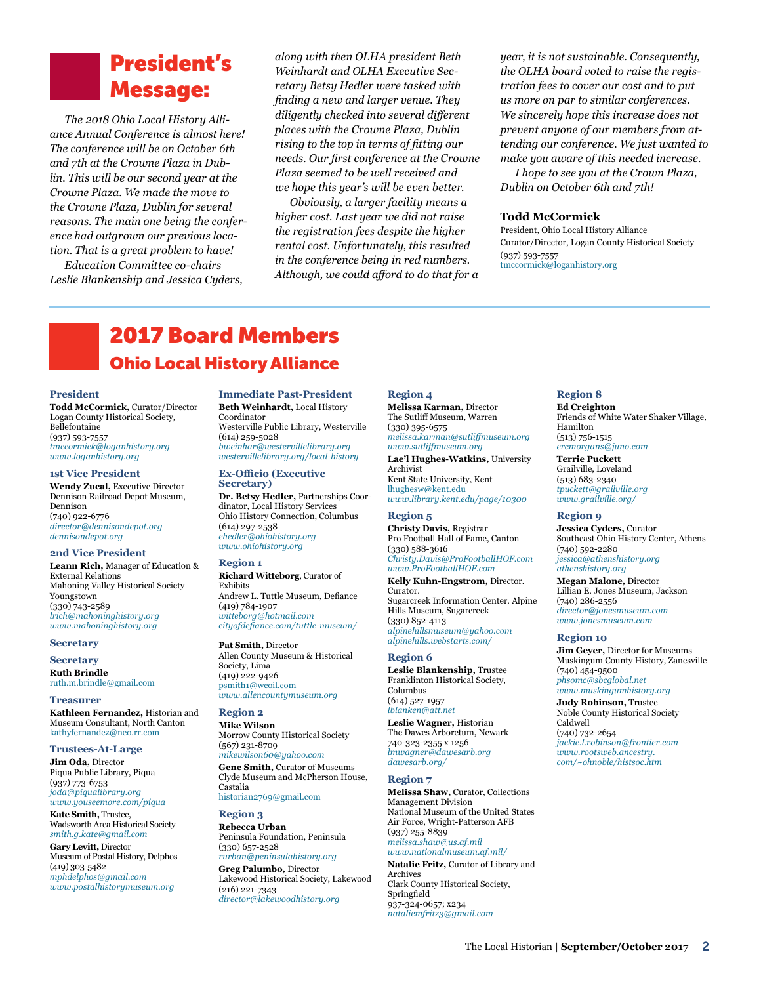# President's Message:

*The 2018 Ohio Local History Alliance Annual Conference is almost here! The conference will be on October 6th and 7th at the Crowne Plaza in Dublin. This will be our second year at the Crowne Plaza. We made the move to the Crowne Plaza, Dublin for several reasons. The main one being the conference had outgrown our previous location. That is a great problem to have!* 

*Education Committee co-chairs Leslie Blankenship and Jessica Cyders,*  *along with then OLHA president Beth Weinhardt and OLHA Executive Secretary Betsy Hedler were tasked with finding a new and larger venue. They diligently checked into several different places with the Crowne Plaza, Dublin rising to the top in terms of fitting our needs. Our first conference at the Crowne Plaza seemed to be well received and we hope this year's will be even better.*

*Obviously, a larger facility means a higher cost. Last year we did not raise the registration fees despite the higher rental cost. Unfortunately, this resulted in the conference being in red numbers. Although, we could afford to do that for a*  *year, it is not sustainable. Consequently, the OLHA board voted to raise the registration fees to cover our cost and to put us more on par to similar conferences. We sincerely hope this increase does not prevent anyone of our members from attending our conference. We just wanted to make you aware of this needed increase.* 

*I hope to see you at the Crown Plaza, Dublin on October 6th and 7th!*

#### **Todd McCormick**

President, Ohio Local History Alliance Curator/Director, Logan County Historical Society (937) 593-7557 [tmccormick@loganhistory.org](mailto:tmccormick@loganhistory.org)

# 2017 Board Members Ohio Local History Alliance

#### **President**

**Todd McCormick,** Curator/Director Logan County Historical Society, Bellefontaine (937) 593-7557 *[tmccormick@loganhistory.org](mailto:tmccormick%40loganhistory.org?subject=) [www.loganhistory.org](https://www.loganhistory.org/)*

#### **1st Vice President**

**Wendy Zucal,** Executive Director Dennison Railroad Depot Museum, Dennison (740) 922-6776 *[director@dennisondepot.org](mailto:director%40dennisondepot.org?subject=) [dennisondepot.org](http://dennisondepot.org)*

#### **2nd Vice President**

**Leann Rich,** Manager of Education & External Relations Mahoning Valley Historical Society Youngstown (330) 743-2589 *[lrich@mahoninghistory.org](mailto:lrich%40mahoninghistory.org?subject=) [www.mahoninghistory.org](http://www.mahoninghistory.org)*

#### **Secretary**

**Secretary Ruth Brindle** [ruth.m.brindle@gmail.com](mailto:ruth.m.brindle%40gmail.com?subject=)

#### **Treasurer**

**Kathleen Fernandez,** Historian and Museum Consultant, North Canton [kathyfernandez@neo.rr.com](mailto:kathyfernandez%40neo.rr.com?subject=)

#### **Trustees-At-Large Jim Oda,** Director Piqua Public Library, Piqua (937) 773-6753

*[joda@piqualibrary.org](mailto:joda%40piqualibrary.org?subject=) [www.youseemore.com/piqua](http://www.youseemore.com/piqua)*

**Kate Smith,** Trustee, Wadsworth Area Historical Society *[smith.g.kate@gmail.com](mailto:smith.g.kate@gmail.com)* **Gary Levitt,** Director Museum of Postal History, Delphos (419) 303-5482 *[mphdelphos@gmail.com](mailto:mphdelphos%40gmail.com?subject=)*

*[www.postalhistorymuseum.org](http://www.postalhistorymuseum.org)*

**Immediate Past-President Beth Weinhardt,** Local History Coordinator Westerville Public Library, Westerville (614) 259-5028 *[bweinhar@westervillelibrary.org](mailto:bweinhar%40westervillelibrary.org?subject=) [westervillelibrary.org/local-history](http://westervillelibrary.org/local-history)*

#### **Ex-Officio (Executive Secretary)**

**Dr. Betsy Hedler,** Partnerships Coordinator, Local History Services Ohio History Connection, Columbus (614) 297-2538 *[ehedler@ohiohistory.org](mailto:ehedler%40ohiohistory.org?subject=) [www.ohiohistory.org](http://www.ohiohistory.org)*

#### **Region 1**

**Richard Witteborg**, Curator of Exhibits Andrew L. Tuttle Museum, Defiance (419) 784-1907 *[witteborg@hotmail.com](mailto:witteborg%40hotmail.com?subject=) cityofdefiance.com/tuttle-museum[/](http://cityofdefiance.com/tuttle-museum/)* 

**Pat Smith,** Director Allen County Museum & Historical Society, Lima (419) 222-9426 [psmith1@wcoil.com](mailto:psmith1@wcoil.com) *[www.allencountymuseum.org](http://www.allencountymuseum.org/ACM2/Welcome.html)* 

#### **Region 2**

**Mike Wilson** Morrow County Historical Society (567) 231-8709 *[mikewilson60@yahoo.com](mailto:mikewilson60%40yahoo.com?subject=)* **Gene Smith,** Curator of Museums Clyde Museum and McPherson House, Castalia

[historian2769@gmail.com](mailto:historian2769@gmail.com )

# **Region 3**

**Rebecca Urban** Peninsula Foundation, Peninsula (330) 657-2528 *[rurban@peninsulahistory.org](mailto:rurban%40peninsulahistory.org?subject=)* **Greg Palumbo,** Director Lakewood Historical Society, Lakewood (216) 221-7343 *[director@lakewoodhistory.org](mailto:director@lakewoodhistory.org )*

#### **Region 4 Melissa Karman,** Director The Sutliff Museum, Warren (330) 395-6575 *[melissa.karman@sutliffmuseum.org](mailto:melissa.karman%40sutliffmuseum.org?subject=)  [www.sutliffmuseum.org](http://www.sutliffmuseum.org)* **Lae'l Hughes-Watkins,** University Archivist Kent State University, Kent [lhughesw@kent.edu](mailto:lhughes@kent.edu)

*[www.library.kent.edu/page/10300](http://www.library.kent.edu/page/10300 )*

# **Region 5**

**Christy Davis,** Registrar Pro Football Hall of Fame, Canton (330) 588-3616 *[Christy.Davis@ProFootballHOF.com](mailto:Christy.Davis%40ProFootballHOF.com?subject=)  [www.ProFootballHOF.com](http://www.ProFootballHOF.com)*

**Kelly Kuhn-Engstrom,** Director. Curator. Sugarcreek Information Center. Alpine Hills Museum, Sugarcreek (330) 852-4113 *[alpinehillsmuseum@yahoo.com](mailto:alpinehillsmuseum%40yahoo.com?subject=) [alpinehills.webstarts.com/](http://alpinehills.webstarts.com)*

#### **Region 6**

**Leslie Blankenship,** Trustee Franklinton Historical Society, Columbus (614) 527-1957 *[lblanken@att.net](mailto:lblanken%40att.net?subject=)* 

**Leslie Wagner,** Historian The Dawes Arboretum, Newark 740-323-2355 x 1256 *[lmwagner@dawesarb.org](mailto:lmwagner@dawesarb.org ) [dawesarb.org/](http://dawesarb.org/ )*

#### **Region 7**

**Melissa Shaw,** Curator, Collections Management Division National Museum of the United States Air Force, Wright-Patterson AFB (937) 255-8839 *melissa.shaw@us.af.mil www.nationalmuseum.af.mil/*

**Natalie Fritz,** Curator of Library and Archives Clark County Historical Society, Springfield 937-324-0657; x234 *nataliemfritz3@gmail.com*

#### **Region 8**

**Ed Creighton** Friends of White Water Shaker Village, Hamilton (513) 756-1515 *[ercmorgans@juno.com](mailto:ercmorgans%40juno.com?subject=)* **Terrie Puckett** Grailville, Loveland (513) 683-2340 *[tpuckett@grailville.org](mailto:tpuckett%40grailville.org?subject=) [www.grailville.org/](http://www.grailville.org)*

#### **Region 9**

**Jessica Cyders,** Curator Southeast Ohio History Center, Athens (740) 592-2280 *[jessica@athenshistory.org](mailto:jessica%40athenshistory.org?subject=) [athenshistory.org](http://athenshistory.org)*

**Megan Malone,** Director Lillian E. Jones Museum, Jackson (740) 286-2556 *[director@jonesmuseum.com](mailto:director%40jonesmuseum.com?subject=) [www.jonesmuseum.com](http://www.jonesmuseum.com)*

#### **Region 10**

**Jim Geyer,** Director for Museums Muskingum County History, Zanesville (740) 454-9500 *[phsomc@sbcglobal.net](mailto:phsomc%40sbcglobal.net?subject=)*

*[www.muskingumhistory.org](http://www.muskingumhistory.org)* **Judy Robinson,** Trustee Noble County Historical Society Caldwell (740) 732-2654 *[jackie.l.robinson@frontier.com](mailto:jackie.l.robinson%40frontier.com?subject=) [www.rootsweb.ancestry.](http://www.rootsweb.ancestry.com/~ohnoble/histsoc.htm) [com/~ohnoble/histsoc.htm](http://www.rootsweb.ancestry.com/~ohnoble/histsoc.htm)*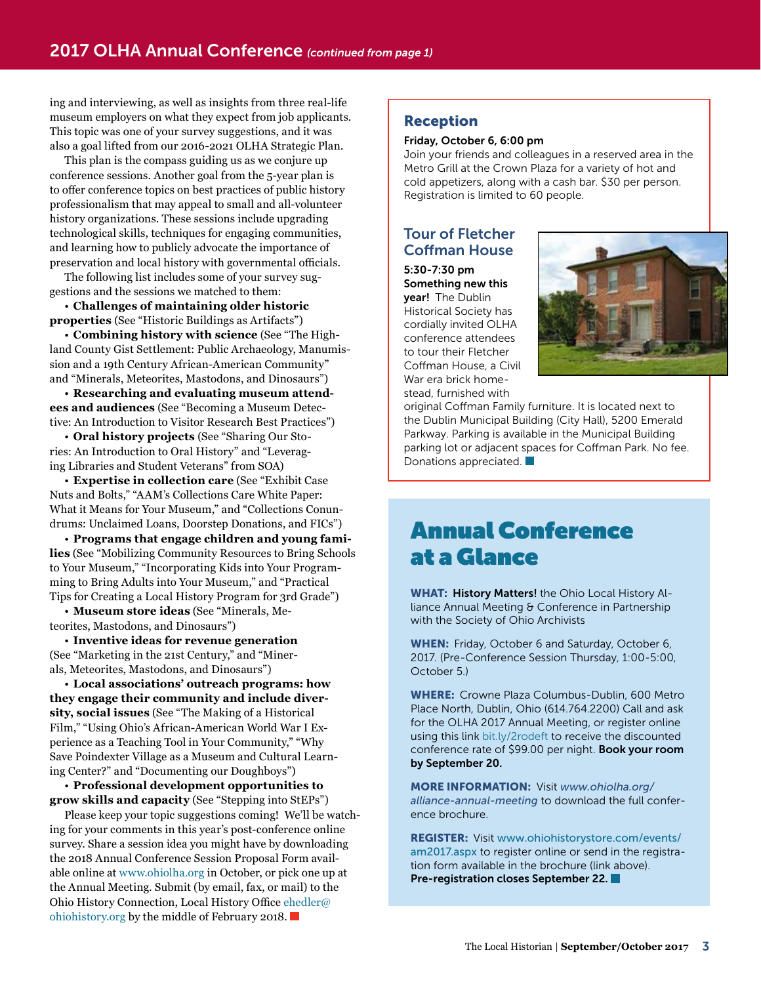ing and interviewing, as well as insights from three real-life museum employers on what they expect from job applicants. This topic was one of your survey suggestions, and it was also a goal lifted from our 2016-2021 OLHA Strategic Plan.

This plan is the compass guiding us as we conjure up conference sessions. Another goal from the 5-year plan is to offer conference topics on best practices of public history professionalism that may appeal to small and all-volunteer history organizations. These sessions include upgrading technological skills, techniques for engaging communities, and learning how to publicly advocate the importance of preservation and local history with governmental officials.

The following list includes some of your survey suggestions and the sessions we matched to them:

• **Challenges of maintaining older historic properties** (See "Historic Buildings as Artifacts")

• **Combining history with science** (See "The Highland County Gist Settlement: Public Archaeology, Manumission and a 19th Century African-American Community" and "Minerals, Meteorites, Mastodons, and Dinosaurs")

• **Researching and evaluating museum attendees and audiences** (See "Becoming a Museum Detective: An Introduction to Visitor Research Best Practices")

• **Oral history projects** (See "Sharing Our Stories: An Introduction to Oral History" and "Leveraging Libraries and Student Veterans" from SOA)

• **Expertise in collection care** (See "Exhibit Case Nuts and Bolts," "AAM's Collections Care White Paper: What it Means for Your Museum," and "Collections Conundrums: Unclaimed Loans, Doorstep Donations, and FICs")

• **Programs that engage children and young families** (See "Mobilizing Community Resources to Bring Schools to Your Museum," "Incorporating Kids into Your Programming to Bring Adults into Your Museum," and "Practical Tips for Creating a Local History Program for 3rd Grade")

• **Museum store ideas** (See "Minerals, Meteorites, Mastodons, and Dinosaurs")

• **Inventive ideas for revenue generation**  (See "Marketing in the 21st Century," and "Minerals, Meteorites, Mastodons, and Dinosaurs")

• **Local associations' outreach programs: how they engage their community and include diversity, social issues** (See "The Making of a Historical Film," "Using Ohio's African-American World War I Experience as a Teaching Tool in Your Community," "Why Save Poindexter Village as a Museum and Cultural Learning Center?" and "Documenting our Doughboys")

• **Professional development opportunities to grow skills and capacity** (See "Stepping into StEPs")

Please keep your topic suggestions coming! We'll be watching for your comments in this year's post-conference online survey. Share a session idea you might have by downloading the 2018 Annual Conference Session Proposal Form available online at [www.ohiolha.org](http://www.ohiolha.org) in October, or pick one up at the Annual Meeting. Submit (by email, fax, or mail) to the Ohio History Connection, Local History Office [ehedler@](mailto:ehedler@ohiohistory.org) [ohiohistory.org](mailto:ehedler@ohiohistory.org) by the middle of February 2018.

# Reception

### Friday, October 6, 6:00 pm

Join your friends and colleagues in a reserved area in the Metro Grill at the Crown Plaza for a variety of hot and cold appetizers, along with a cash bar. \$30 per person. Registration is limited to 60 people.

# Tour of Fletcher Coffman House

5:30-7:30 pm Something new this vear! The Dublin Historical Society has cordially invited OLHA conference attendees to tour their Fletcher Coffman House, a Civil War era brick homestead, furnished with



original Coffman Family furniture. It is located next to the Dublin Municipal Building (City Hall), 5200 Emerald Parkway. Parking is available in the Municipal Building parking lot or adjacent spaces for Coffman Park. No fee. Donations appreciated.  $\Box$ 

# Annual Conference at a Glance

WHAT: History Matters! the Ohio Local History Alliance Annual Meeting & Conference in Partnership with the Society of Ohio Archivists

WHEN: Friday, October 6 and Saturday, October 6, 2017. (Pre-Conference Session Thursday, 1:00-5:00, October 5.)

WHERE: Crowne Plaza Columbus-Dublin, 600 Metro Place North, Dublin, Ohio (614.764.2200) Call and ask for the OLHA 2017 Annual Meeting, or register online using this link [bit.ly/2rodeft](http://bit.ly/2rodeft) to receive the discounted conference rate of \$99.00 per night. Book your room by September 20.

MORE INFORMATION: Visit *[www.ohiolha.org/](http://www.ohiolha.org/alliance-annual-meeting) [alliance](http://www.ohiolha.org/alliance-annual-meeting)-annual-meeting* to download the full conference brochure.

REGISTER: Visit [www.ohiohistorystore.com/events/](http://www.ohiohistorystore.com/events/am2017.aspx) [am2017.aspx](http://www.ohiohistorystore.com/events/am2017.aspx) to register online or send in the registration form available in the brochure (link above). Pre-registration closes September 22.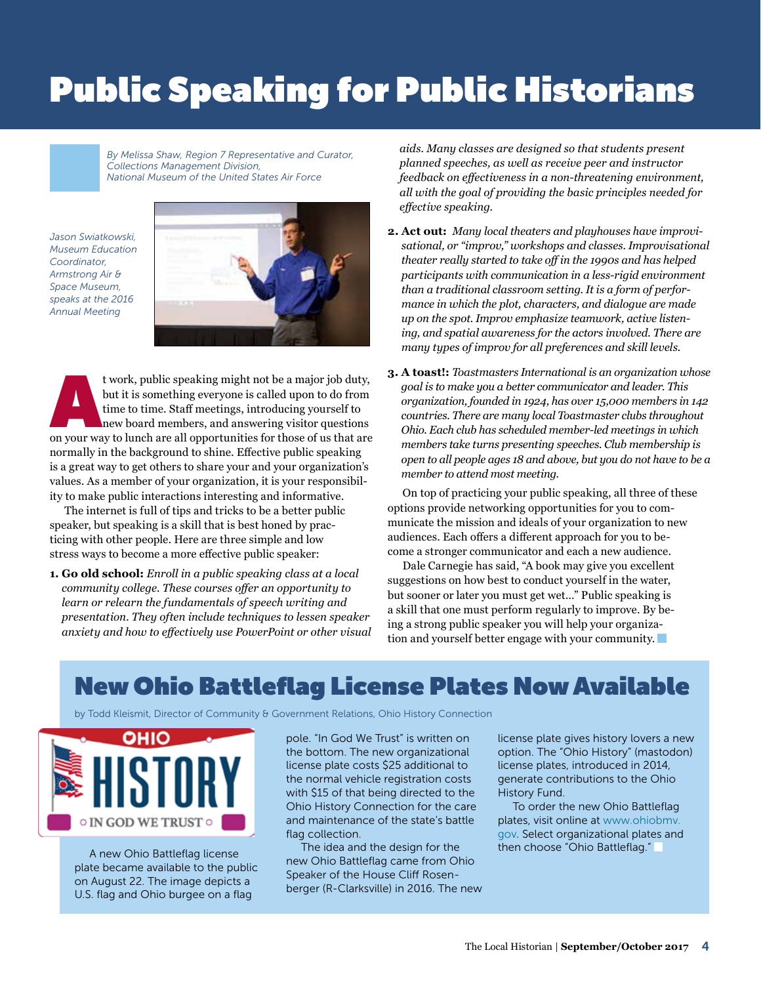# **Public Speaking for Public Historians**

*By Melissa Shaw, Region 7 Representative and Curator, Collections Management Division, National Museum of the United States Air Force* 

*Jason Swiatkowski, Museum Education Coordinator, Armstrong Air & Space Museum, speaks at the 2016 Annual Meeting*



t work, public speaking might not be a major job duty, but it is something everyone is called upon to do from time to time. Staff meetings, introducing yourself to new board members, and answering visitor questions on your but it is something everyone is called upon to do from time to time. Staff meetings, introducing yourself to new board members, and answering visitor questions normally in the background to shine. Effective public speaking is a great way to get others to share your and your organization's values. As a member of your organization, it is your responsibility to make public interactions interesting and informative.

The internet is full of tips and tricks to be a better public speaker, but speaking is a skill that is best honed by practicing with other people. Here are three simple and low stress ways to become a more effective public speaker:

**1. Go old school:** *Enroll in a public speaking class at a local community college. These courses offer an opportunity to learn or relearn the fundamentals of speech writing and presentation. They often include techniques to lessen speaker anxiety and how to effectively use PowerPoint or other visual* 

*aids. Many classes are designed so that students present planned speeches, as well as receive peer and instructor feedback on effectiveness in a non-threatening environment, all with the goal of providing the basic principles needed for effective speaking.*

- **2. Act out:** *Many local theaters and playhouses have improvisational, or "improv," workshops and classes. Improvisational theater really started to take off in the 1990s and has helped participants with communication in a less-rigid environment than a traditional classroom setting. It is a form of performance in which the plot, characters, and dialogue are made up on the spot. Improv emphasize teamwork, active listening, and spatial awareness for the actors involved. There are many types of improv for all preferences and skill levels.*
- **3. A toast!:** *Toastmasters International is an organization whose goal is to make you a better communicator and leader. This organization, founded in 1924, has over 15,000 members in 142 countries. There are many local Toastmaster clubs throughout Ohio. Each club has scheduled member-led meetings in which members take turns presenting speeches. Club membership is open to all people ages 18 and above, but you do not have to be a member to attend most meeting.*

On top of practicing your public speaking, all three of these options provide networking opportunities for you to communicate the mission and ideals of your organization to new audiences. Each offers a different approach for you to become a stronger communicator and each a new audience.

Dale Carnegie has said, "A book may give you excellent suggestions on how best to conduct yourself in the water, but sooner or later you must get wet…" Public speaking is a skill that one must perform regularly to improve. By being a strong public speaker you will help your organization and yourself better engage with your community.

# New Ohio Battleflag License Plates Now Available

by Todd Kleismit, Director of Community & Government Relations, Ohio History Connection



A new Ohio Battleflag license plate became available to the public on August 22. The image depicts a U.S. flag and Ohio burgee on a flag

pole. "In God We Trust" is written on the bottom. The new organizational license plate costs \$25 additional to the normal vehicle registration costs with \$15 of that being directed to the Ohio History Connection for the care and maintenance of the state's battle flag collection.

The idea and the design for the new Ohio Battleflag came from Ohio Speaker of the House Cliff Rosenberger (R-Clarksville) in 2016. The new license plate gives history lovers a new option. The "Ohio History" (mastodon) license plates, introduced in 2014, generate contributions to the Ohio History Fund.

To order the new Ohio Battleflag plates, visit online at [www.ohiobmv.](http://www.ohiobmv.gov) [gov.](http://www.ohiobmv.gov) Select organizational plates and then choose "Ohio Battleflag."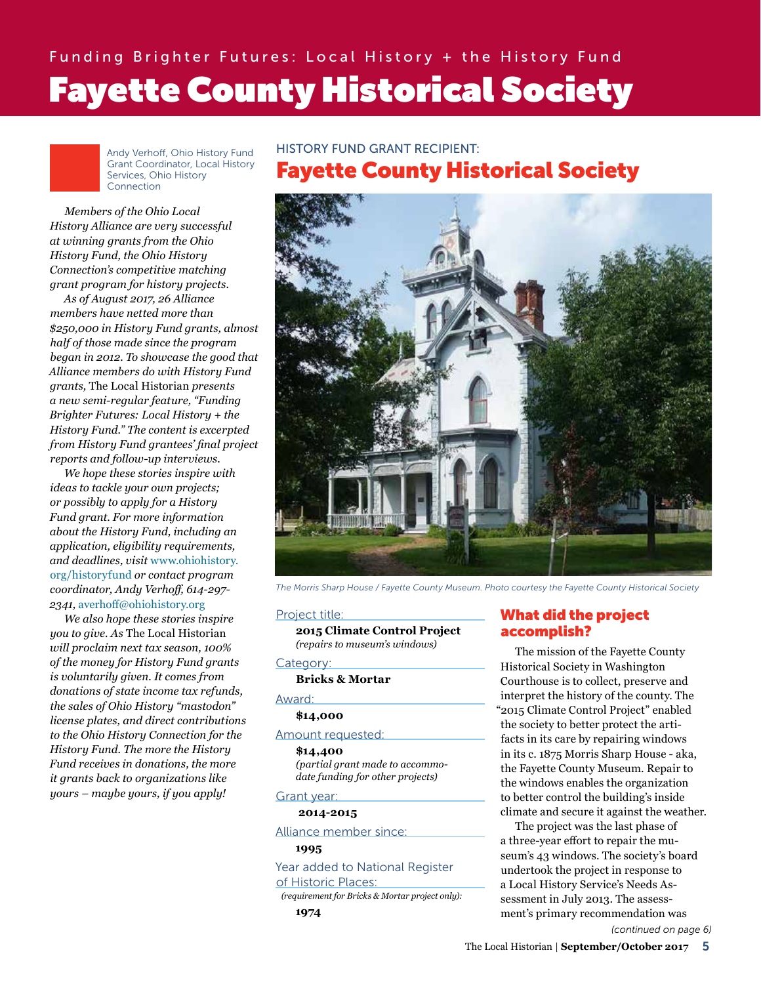Andy Verhoff, Ohio History Fund Grant Coordinator, Local History Services, Ohio History Connection

*Members of the Ohio Local History Alliance are very successful at winning grants from the Ohio History Fund, the Ohio History Connection's competitive matching grant program for history projects.*

*As of August 2017, 26 Alliance members have netted more than \$250,000 in History Fund grants, almost half of those made since the program began in 2012. To showcase the good that Alliance members do with History Fund grants,* The Local Historian *presents a new semi-regular feature, "Funding Brighter Futures: Local History + the History Fund." The content is excerpted from History Fund grantees' final project reports and follow-up interviews.* 

*We hope these stories inspire with ideas to tackle your own projects; or possibly to apply for a History Fund grant. For more information about the History Fund, including an application, eligibility requirements, and deadlines, visit* [www.ohiohistory.](http://www.ohiohistory.org/historyfund) [org/historyfund](http://www.ohiohistory.org/historyfund) *or contact program coordinator, Andy Verhoff, 614-297- 2341,* [averhoff@ohiohistory.org](mailto:averhoff@ohiohistory.org)

*We also hope these stories inspire you to give. As* The Local Historian *will proclaim next tax season, 100% of the money for History Fund grants is voluntarily given. It comes from donations of state income tax refunds, the sales of Ohio History "mastodon" license plates, and direct contributions to the Ohio History Connection for the History Fund. The more the History Fund receives in donations, the more it grants back to organizations like yours – maybe yours, if you apply!*

## HISTORY FUND GRANT RECIPIENT:

# Fayette County Historical Society



*The Morris Sharp House / Fayette County Museum. Photo courtesy the Fayette County Historical Society*

#### Project title:

**2015 Climate Control Project**  *(repairs to museum's windows)*

#### Category:

#### **Bricks & Mortar**

#### Award:

# **\$14,000**

### Amount requested:

**\$14,400** 

*(partial grant made to accommodate funding for other projects)*

### Grant year: **2014-2015**

Alliance member since:

#### **1995**

Year added to National Register

of Historic Places:

*(requirement for Bricks & Mortar project only):*

# What did the project accomplish?

The mission of the Fayette County Historical Society in Washington Courthouse is to collect, preserve and interpret the history of the county. The "2015 Climate Control Project" enabled the society to better protect the artifacts in its care by repairing windows in its c. 1875 Morris Sharp House - aka, the Fayette County Museum. Repair to the windows enables the organization to better control the building's inside climate and secure it against the weather.

The project was the last phase of a three-year effort to repair the museum's 43 windows. The society's board undertook the project in response to a Local History Service's Needs Assessment in July 2013. The assessment's primary recommendation was *(continued on page 6)*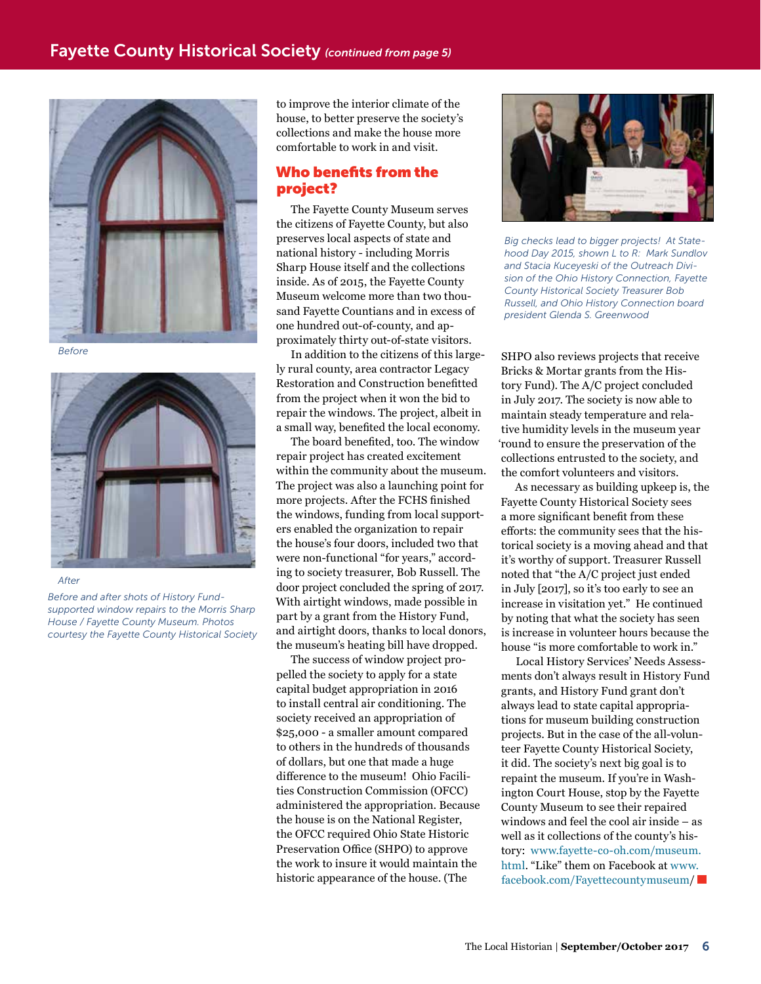

*Before*



#### *After*

*Before and after shots of History Fundsupported window repairs to the Morris Sharp House / Fayette County Museum. Photos courtesy the Fayette County Historical Society* to improve the interior climate of the house, to better preserve the society's collections and make the house more comfortable to work in and visit.

# Who benefits from the project?

The Fayette County Museum serves the citizens of Fayette County, but also preserves local aspects of state and national history - including Morris Sharp House itself and the collections inside. As of 2015, the Fayette County Museum welcome more than two thousand Fayette Countians and in excess of one hundred out-of-county, and approximately thirty out-of-state visitors.

In addition to the citizens of this largely rural county, area contractor Legacy Restoration and Construction benefitted from the project when it won the bid to repair the windows. The project, albeit in a small way, benefited the local economy.

The board benefited, too. The window repair project has created excitement within the community about the museum. The project was also a launching point for more projects. After the FCHS finished the windows, funding from local supporters enabled the organization to repair the house's four doors, included two that were non-functional "for years," according to society treasurer, Bob Russell. The door project concluded the spring of 2017. With airtight windows, made possible in part by a grant from the History Fund, and airtight doors, thanks to local donors, the museum's heating bill have dropped.

The success of window project propelled the society to apply for a state capital budget appropriation in 2016 to install central air conditioning. The society received an appropriation of \$25,000 - a smaller amount compared to others in the hundreds of thousands of dollars, but one that made a huge difference to the museum! Ohio Facilities Construction Commission (OFCC) administered the appropriation. Because the house is on the National Register, the OFCC required Ohio State Historic Preservation Office (SHPO) to approve the work to insure it would maintain the historic appearance of the house. (The



*Big checks lead to bigger projects! At Statehood Day 2015, shown L to R: Mark Sundlov and Stacia Kuceyeski of the Outreach Division of the Ohio History Connection, Fayette County Historical Society Treasurer Bob Russell, and Ohio History Connection board president Glenda S. Greenwood*

SHPO also reviews projects that receive Bricks & Mortar grants from the History Fund). The A/C project concluded in July 2017. The society is now able to maintain steady temperature and relative humidity levels in the museum year 'round to ensure the preservation of the collections entrusted to the society, and the comfort volunteers and visitors.

As necessary as building upkeep is, the Fayette County Historical Society sees a more significant benefit from these efforts: the community sees that the historical society is a moving ahead and that it's worthy of support. Treasurer Russell noted that "the A/C project just ended in July [2017], so it's too early to see an increase in visitation yet." He continued by noting that what the society has seen is increase in volunteer hours because the house "is more comfortable to work in."

Local History Services' Needs Assessments don't always result in History Fund grants, and History Fund grant don't always lead to state capital appropriations for museum building construction projects. But in the case of the all-volunteer Fayette County Historical Society, it did. The society's next big goal is to repaint the museum. If you're in Washington Court House, stop by the Fayette County Museum to see their repaired windows and feel the cool air inside – as well as it collections of the county's history: [www.fayette-co-oh.com/museum.](http://www.fayette-co-oh.com/museum.html) [html.](http://www.fayette-co-oh.com/museum.html) "Like" them on Facebook at [www.](https://www.facebook.com/Fayettecountymuseum) [facebook.com/Fayettecountymuseum/](https://www.facebook.com/Fayettecountymuseum)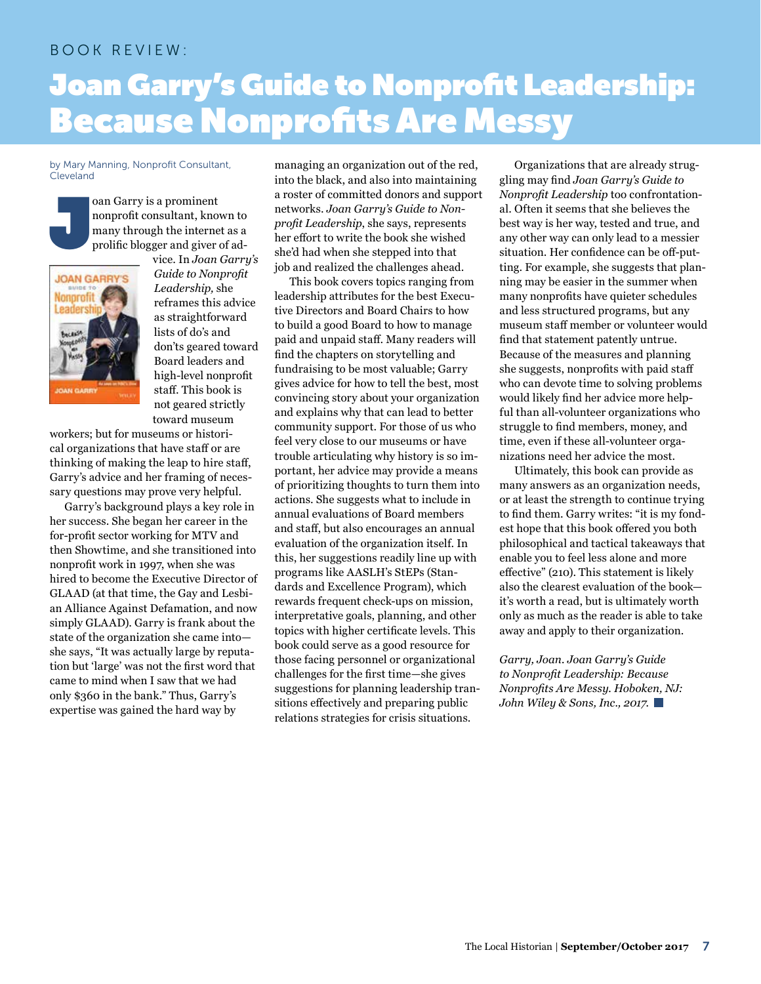# BOOK REVIEW:

# Joan Garry's Guide to Nonprofit Leadership: **Because Nonprofits Are Messy**

#### by Mary Manning, Nonprofit Consultant, Cleveland



oan Garry is a prominent nonprofit consultant, known to many through the internet as a prolific blogger and giver of ad-



vice. In *Joan Garry's Guide to Nonprofit Leadership,* she reframes this advice as straightforward lists of do's and don'ts geared toward Board leaders and high-level nonprofit staff. This book is not geared strictly toward museum

workers; but for museums or historical organizations that have staff or are thinking of making the leap to hire staff, Garry's advice and her framing of necessary questions may prove very helpful.

Garry's background plays a key role in her success. She began her career in the for-profit sector working for MTV and then Showtime, and she transitioned into nonprofit work in 1997, when she was hired to become the Executive Director of GLAAD (at that time, the Gay and Lesbian Alliance Against Defamation, and now simply GLAAD). Garry is frank about the state of the organization she came into she says, "It was actually large by reputation but 'large' was not the first word that came to mind when I saw that we had only \$360 in the bank." Thus, Garry's expertise was gained the hard way by

managing an organization out of the red, into the black, and also into maintaining a roster of committed donors and support networks. *Joan Garry's Guide to Nonprofit Leadership*, she says, represents her effort to write the book she wished she'd had when she stepped into that job and realized the challenges ahead.

This book covers topics ranging from leadership attributes for the best Executive Directors and Board Chairs to how to build a good Board to how to manage paid and unpaid staff. Many readers will find the chapters on storytelling and fundraising to be most valuable; Garry gives advice for how to tell the best, most convincing story about your organization and explains why that can lead to better community support. For those of us who feel very close to our museums or have trouble articulating why history is so important, her advice may provide a means of prioritizing thoughts to turn them into actions. She suggests what to include in annual evaluations of Board members and staff, but also encourages an annual evaluation of the organization itself. In this, her suggestions readily line up with programs like AASLH's StEPs (Standards and Excellence Program), which rewards frequent check-ups on mission, interpretative goals, planning, and other topics with higher certificate levels. This book could serve as a good resource for those facing personnel or organizational challenges for the first time—she gives suggestions for planning leadership transitions effectively and preparing public relations strategies for crisis situations.

Organizations that are already struggling may find *Joan Garry's Guide to Nonprofit Leadership* too confrontational. Often it seems that she believes the best way is her way, tested and true, and any other way can only lead to a messier situation. Her confidence can be off-putting. For example, she suggests that planning may be easier in the summer when many nonprofits have quieter schedules and less structured programs, but any museum staff member or volunteer would find that statement patently untrue. Because of the measures and planning she suggests, nonprofits with paid staff who can devote time to solving problems would likely find her advice more helpful than all-volunteer organizations who struggle to find members, money, and time, even if these all-volunteer organizations need her advice the most.

Ultimately, this book can provide as many answers as an organization needs, or at least the strength to continue trying to find them. Garry writes: "it is my fondest hope that this book offered you both philosophical and tactical takeaways that enable you to feel less alone and more effective" (210). This statement is likely also the clearest evaluation of the book it's worth a read, but is ultimately worth only as much as the reader is able to take away and apply to their organization.

*Garry, Joan. Joan Garry's Guide to Nonprofit Leadership: Because Nonprofits Are Messy. Hoboken, NJ: John Wiley & Sons, Inc., 2017.*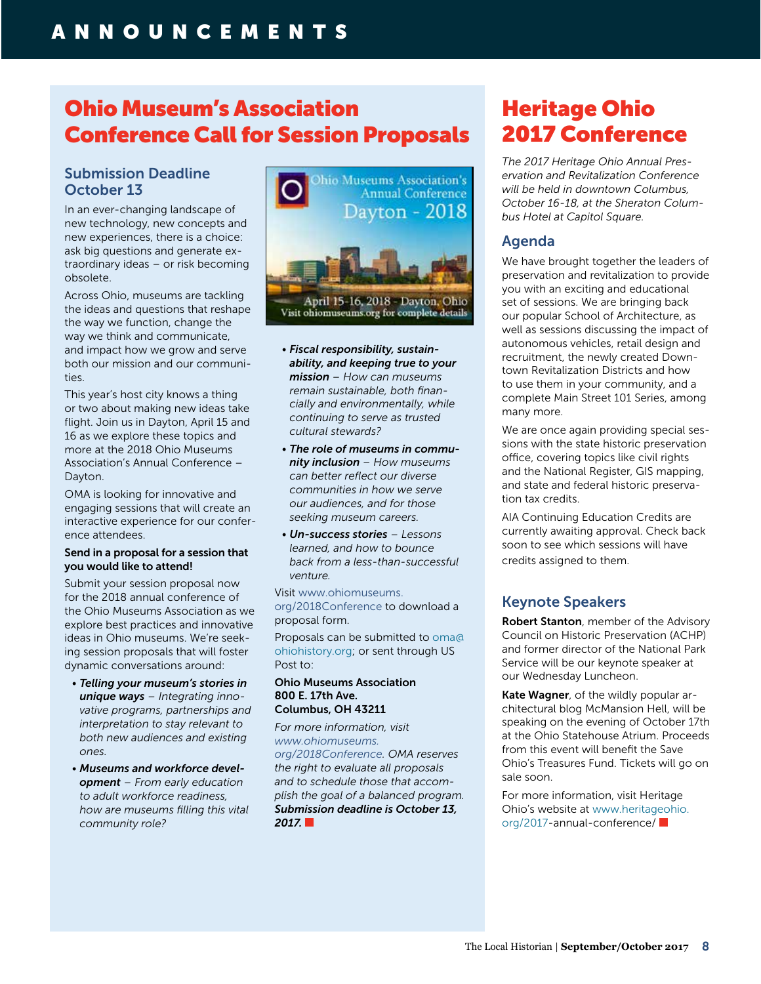# Ohio Museum's Association Conference Call for Session Proposals

# Submission Deadline October 13

In an ever-changing landscape of new technology, new concepts and new experiences, there is a choice: ask big questions and generate extraordinary ideas – or risk becoming obsolete.

Across Ohio, museums are tackling the ideas and questions that reshape the way we function, change the way we think and communicate, and impact how we grow and serve both our mission and our communities.

This year's host city knows a thing or two about making new ideas take flight. Join us in Dayton, April 15 and 16 as we explore these topics and more at the 2018 Ohio Museums Association's Annual Conference – Dayton.

OMA is looking for innovative and engaging sessions that will create an interactive experience for our conference attendees.

## Send in a proposal for a session that you would like to attend!

Submit your session proposal now for the 2018 annual conference of the Ohio Museums Association as we explore best practices and innovative ideas in Ohio museums. We're seeking session proposals that will foster dynamic conversations around:

- *Telling your museum's stories in unique ways – Integrating innovative programs, partnerships and interpretation to stay relevant to both new audiences and existing ones.*
- *Museums and workforce development – From early education to adult workforce readiness, how are museums filling this vital community role?*



- *Fiscal responsibility, sustainability, and keeping true to your mission – How can museums remain sustainable, both financially and environmentally, while continuing to serve as trusted cultural stewards?*
- *The role of museums in community inclusion – How museums can better reflect our diverse communities in how we serve our audiences, and for those seeking museum careers.*
- *Un-success stories Lessons learned, and how to bounce back from a less-than-successful venture.*

Visit [www.ohiomuseums.](http://www.ohiomuseums.org/2018Conference) [org](http://www.ohiomuseums.org/2018Conference)/2018Conference to download a proposal form.

Proposals can be submitted to [oma@](mailto:oma@ohiohistory.org) [ohiohistory.org](mailto:oma@ohiohistory.org); or sent through US Post to:

### Ohio Museums Association 800 E. 17th Ave. Columbus, OH 43211

*For more information, visit [www.ohiomuseums.](http://www.ohiomuseums.org/2018Conference) [org](http://www.ohiomuseums.org/2018Conference)/2018Conference. OMA reserves the right to evaluate all proposals and to schedule those that accomplish the goal of a balanced program. Submission deadline is October 13, 2017.*

# Heritage Ohio 2017 Conference

*The 2017 Heritage Ohio Annual Preservation and Revitalization Conference will be held in downtown Columbus, October 16-18, at the Sheraton Columbus Hotel at Capitol Square.*

# Agenda

We have brought together the leaders of preservation and revitalization to provide you with an exciting and educational set of sessions. We are bringing back our popular School of Architecture, as well as sessions discussing the impact of autonomous vehicles, retail design and recruitment, the newly created Downtown Revitalization Districts and how to use them in your community, and a complete Main Street 101 Series, among many more.

We are once again providing special sessions with the state historic preservation office, covering topics like civil rights and the National Register, GIS mapping, and state and federal historic preservation tax credits.

AIA Continuing Education Credits are currently awaiting approval. Check back soon to see which sessions will have credits assigned to them.

# Keynote Speakers

Robert Stanton, member of the Advisory Council on Historic Preservation (ACHP) and former director of the National Park Service will be our keynote speaker at our Wednesday Luncheon.

Kate Wagner, of the wildly popular architectural blog McMansion Hell, will be speaking on the evening of October 17th at the Ohio Statehouse Atrium. Proceeds from this event will benefit the Save Ohio's Treasures Fund. Tickets will go on sale soon.

For more information, visit Heritage Ohio's website at [www.heritageohio.](http://www.heritageohio.org/2017) [org/2017](http://www.heritageohio.org/2017)-annual-conference/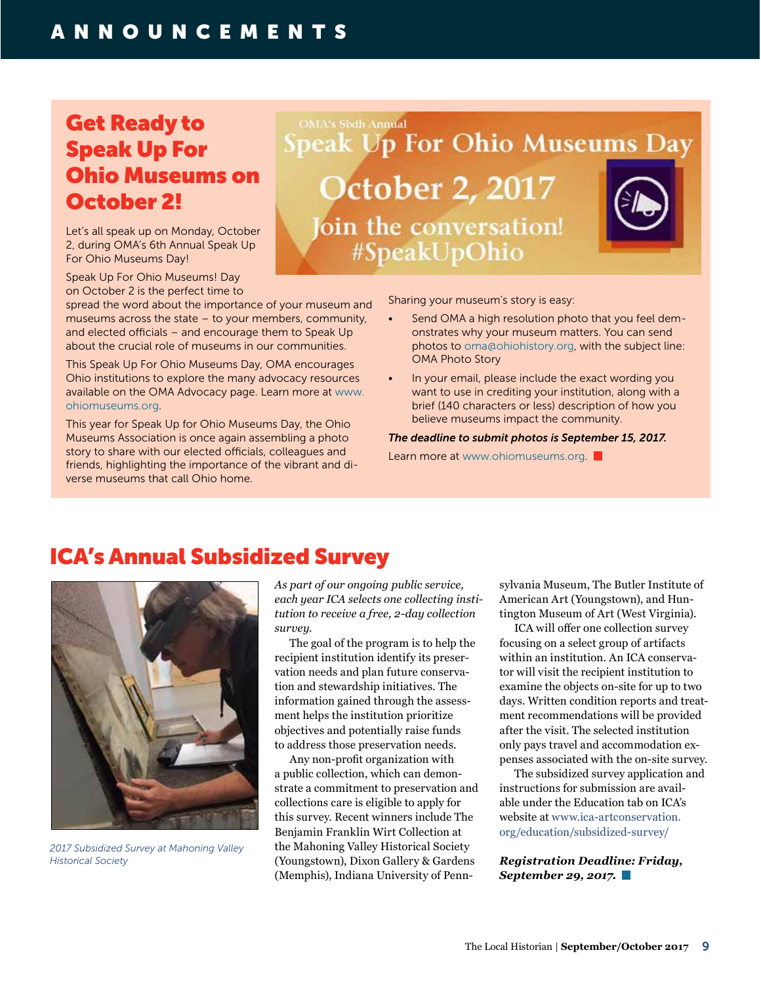# Get Ready to Speak Up For Ohio Museums on October 2!

Let's all speak up on Monday, October 2, during OMA's 6th Annual Speak Up For Ohio Museums Day!

Speak Up For Ohio Museums! Day on October 2 is the perfect time to

spread the word about the importance of your museum and museums across the state – to your members, community, and elected officials – and encourage them to Speak Up about the crucial role of museums in our communities.

This Speak Up For Ohio Museums Day, OMA encourages Ohio institutions to explore the many advocacy resources available on the OMA Advocacy page. Learn more at [www.](http://www.ohiomuseums.org) [ohiomuseums.org.](http://www.ohiomuseums.org)

This year for Speak Up for Ohio Museums Day, the Ohio Museums Association is once again assembling a photo story to share with our elected officials, colleagues and friends, highlighting the importance of the vibrant and diverse museums that call Ohio home.

#SpeakUpOhio

**Speak Up For Ohio Museums Day** 

**October 2, 2017** 

oin the conversation!

Sharing your museum's story is easy:

- Send OMA a high resolution photo that you feel demonstrates why your museum matters. You can send photos to [oma@ohiohistory.org,](mailto:oma@ohiohistory.org) with the subject line: OMA Photo Story
- In your email, please include the exact wording you want to use in crediting your institution, along with a brief (140 characters or less) description of how you believe museums impact the community.

#### *The deadline to submit photos is September 15, 2017.*

Learn more at www.ohiomuseums.org

# ICA's Annual Subsidized Survey



*2017 Subsidized Survey at Mahoning Valley Historical Society*

*As part of our ongoing public service, each year ICA selects one collecting institution to receive a free, 2-day collection survey.* 

**OMA's Sixth Annual** 

The goal of the program is to help the recipient institution identify its preservation needs and plan future conservation and stewardship initiatives. The information gained through the assessment helps the institution prioritize objectives and potentially raise funds to address those preservation needs.

Any non-profit organization with a public collection, which can demonstrate a commitment to preservation and collections care is eligible to apply for this survey. Recent winners include The Benjamin Franklin Wirt Collection at the Mahoning Valley Historical Society (Youngstown), Dixon Gallery & Gardens (Memphis), Indiana University of Penn-

sylvania Museum, The Butler Institute of American Art (Youngstown), and Huntington Museum of Art (West Virginia).

ICA will offer one collection survey focusing on a select group of artifacts within an institution. An ICA conservator will visit the recipient institution to examine the objects on-site for up to two days. Written condition reports and treatment recommendations will be provided after the visit. The selected institution only pays travel and accommodation expenses associated with the on-site survey.

The subsidized survey application and instructions for submission are available under the Education tab on ICA's website at [www.ica-artconservation.](http://www.ica-artconservation.org/education/subsidized-survey/) [org/education/subsidized-](http://www.ica-artconservation.org/education/subsidized-survey/)survey/

*Registration Deadline: Friday, September 29, 2017.*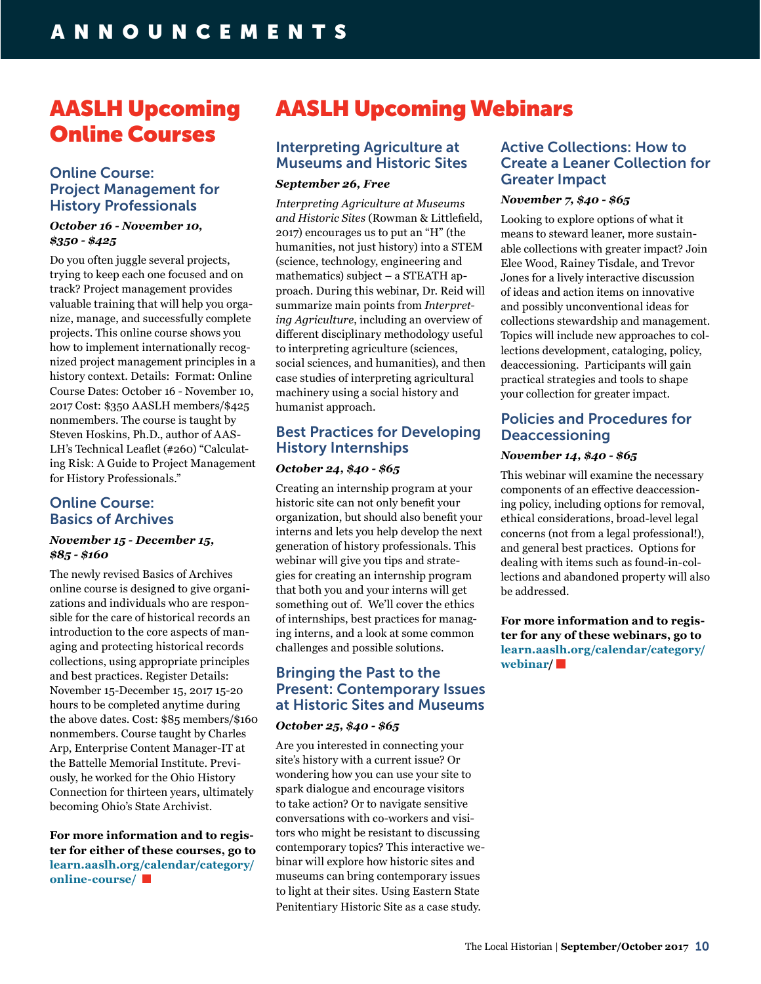# AASLH Upcoming Online Courses

# Online Course: Project Management for History Professionals

### *October 16 - November 10, \$350 - \$425*

Do you often juggle several projects, trying to keep each one focused and on track? Project management provides valuable training that will help you organize, manage, and successfully complete projects. This online course shows you how to implement internationally recognized project management principles in a history context. Details: Format: Online Course Dates: October 16 - November 10, 2017 Cost: \$350 AASLH members/\$425 nonmembers. The course is taught by Steven Hoskins, Ph.D., author of AAS-LH's Technical Leaflet (#260) "Calculating Risk: A Guide to Project Management for History Professionals."

# Online Course: Basics of Archives

# *November 15 - December 15, \$85 - \$160*

The newly revised Basics of Archives online course is designed to give organizations and individuals who are responsible for the care of historical records an introduction to the core aspects of managing and protecting historical records collections, using appropriate principles and best practices. Register Details: November 15-December 15, 2017 15-20 hours to be completed anytime during the above dates. Cost: \$85 members/\$160 nonmembers. Course taught by Charles Arp, Enterprise Content Manager-IT at the Battelle Memorial Institute. Previously, he worked for the Ohio History Connection for thirteen years, ultimately becoming Ohio's State Archivist.

**For more information and to register for either of these courses, go to [learn.aaslh.org/calendar/category/](http://learn.aaslh.org/calendar/category/online) [online](http://learn.aaslh.org/calendar/category/online)-course/** 

# AASLH Upcoming Webinars

# Interpreting Agriculture at Museums and Historic Sites

# *September 26, Free*

*Interpreting Agriculture at Museums and Historic Sites* (Rowman & Littlefield, 2017) encourages us to put an "H" (the humanities, not just history) into a STEM (science, technology, engineering and mathematics) subject – a STEATH approach. During this webinar, Dr. Reid will summarize main points from *Interpreting Agriculture*, including an overview of different disciplinary methodology useful to interpreting agriculture (sciences, social sciences, and humanities), and then case studies of interpreting agricultural machinery using a social history and humanist approach.

# Best Practices for Developing History Internships

### *October 24, \$40 - \$65*

Creating an internship program at your historic site can not only benefit your organization, but should also benefit your interns and lets you help develop the next generation of history professionals. This webinar will give you tips and strategies for creating an internship program that both you and your interns will get something out of. We'll cover the ethics of internships, best practices for managing interns, and a look at some common challenges and possible solutions.

# Bringing the Past to the Present: Contemporary Issues at Historic Sites and Museums

### *October 25, \$40 - \$65*

Are you interested in connecting your site's history with a current issue? Or wondering how you can use your site to spark dialogue and encourage visitors to take action? Or to navigate sensitive conversations with co-workers and visitors who might be resistant to discussing contemporary topics? This interactive webinar will explore how historic sites and museums can bring contemporary issues to light at their sites. Using Eastern State Penitentiary Historic Site as a case study.

# Active Collections: How to Create a Leaner Collection for Greater Impact

### *November 7, \$40 - \$65*

Looking to explore options of what it means to steward leaner, more sustainable collections with greater impact? Join Elee Wood, Rainey Tisdale, and Trevor Jones for a lively interactive discussion of ideas and action items on innovative and possibly unconventional ideas for collections stewardship and management. Topics will include new approaches to collections development, cataloging, policy, deaccessioning. Participants will gain practical strategies and tools to shape your collection for greater impact.

# Policies and Procedures for Deaccessioning

### *November 14, \$40 - \$65*

This webinar will examine the necessary components of an effective deaccessioning policy, including options for removal, ethical considerations, broad-level legal concerns (not from a legal professional!), and general best practices. Options for dealing with items such as found-in-collections and abandoned property will also be addressed.

**For more information and to register for any of these webinars, go to [learn.aaslh.org/calendar/category/](http://learn.aaslh.org/calendar/category/webinar) [webinar](http://learn.aaslh.org/calendar/category/webinar)/**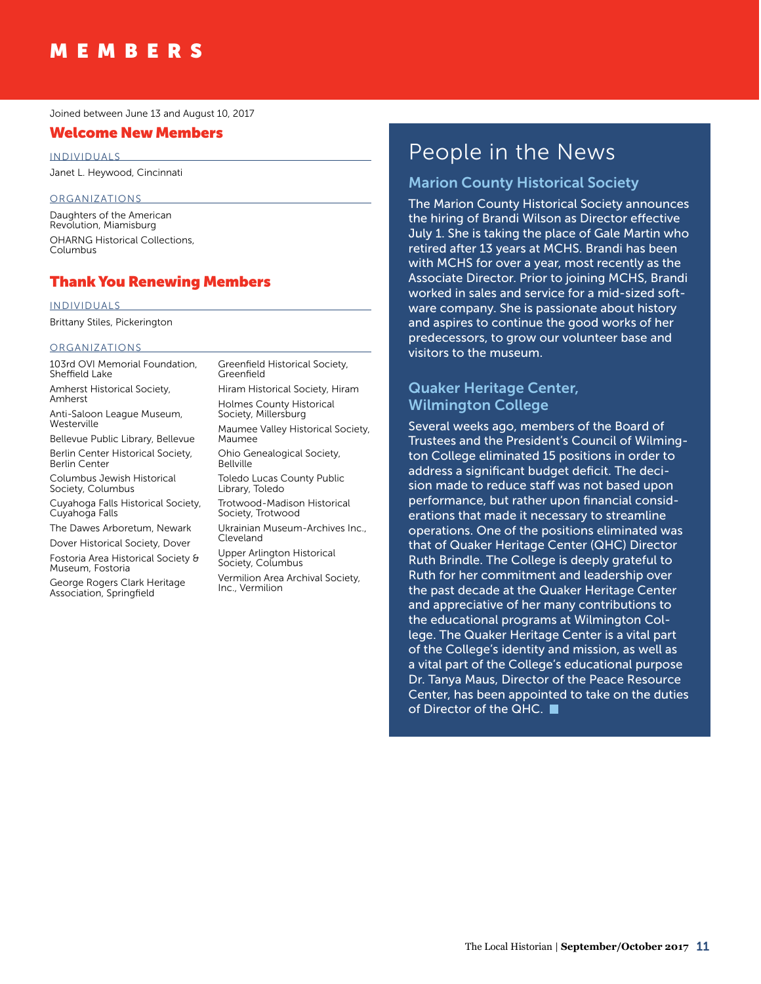#### Joined between June 13 and August 10, 2017

# Welcome New Members

INDIVIDUALS Janet L. Heywood, Cincinnati

#### ORGANIZATIONS

Daughters of the American Revolution, Miamisburg OHARNG Historical Collections, Columbus

# Thank You Renewing Members

#### INDIVIDUALS

Brittany Stiles, Pickerington

#### ORGANIZATIONS

103rd OVI Memorial Foundation, Sheffield Lake

Amherst Historical Society, Amherst

Anti-Saloon League Museum, **Westerville** 

Bellevue Public Library, Bellevue Berlin Center Historical Society, Berlin Center

Columbus Jewish Historical Society, Columbus

Cuyahoga Falls Historical Society, Cuyahoga Falls

The Dawes Arboretum, Newark Dover Historical Society, Dover

Fostoria Area Historical Society & Museum, Fostoria

George Rogers Clark Heritage Association, Springfield

Greenfield Historical Society, Greenfield Hiram Historical Society, Hiram Holmes County Historical Society, Millersburg Maumee Valley Historical Society, Maumee Ohio Genealogical Society, Bellville Toledo Lucas County Public Library, Toledo Trotwood-Madison Historical Society, Trotwood Ukrainian Museum-Archives Inc., Cleveland

Upper Arlington Historical Society, Columbus Vermilion Area Archival Society,

Inc., Vermilion

# People in the News

# Marion County Historical Society

The Marion County Historical Society announces the hiring of Brandi Wilson as Director effective July 1. She is taking the place of Gale Martin who retired after 13 years at MCHS. Brandi has been with MCHS for over a year, most recently as the Associate Director. Prior to joining MCHS, Brandi worked in sales and service for a mid-sized software company. She is passionate about history and aspires to continue the good works of her predecessors, to grow our volunteer base and visitors to the museum.

# Quaker Heritage Center, Wilmington College

Several weeks ago, members of the Board of Trustees and the President's Council of Wilmington College eliminated 15 positions in order to address a significant budget deficit. The decision made to reduce staff was not based upon performance, but rather upon financial considerations that made it necessary to streamline operations. One of the positions eliminated was that of Quaker Heritage Center (QHC) Director Ruth Brindle. The College is deeply grateful to Ruth for her commitment and leadership over the past decade at the Quaker Heritage Center and appreciative of her many contributions to the educational programs at Wilmington College. The Quaker Heritage Center is a vital part of the College's identity and mission, as well as a vital part of the College's educational purpose Dr. Tanya Maus, Director of the Peace Resource Center, has been appointed to take on the duties of Director of the QHC.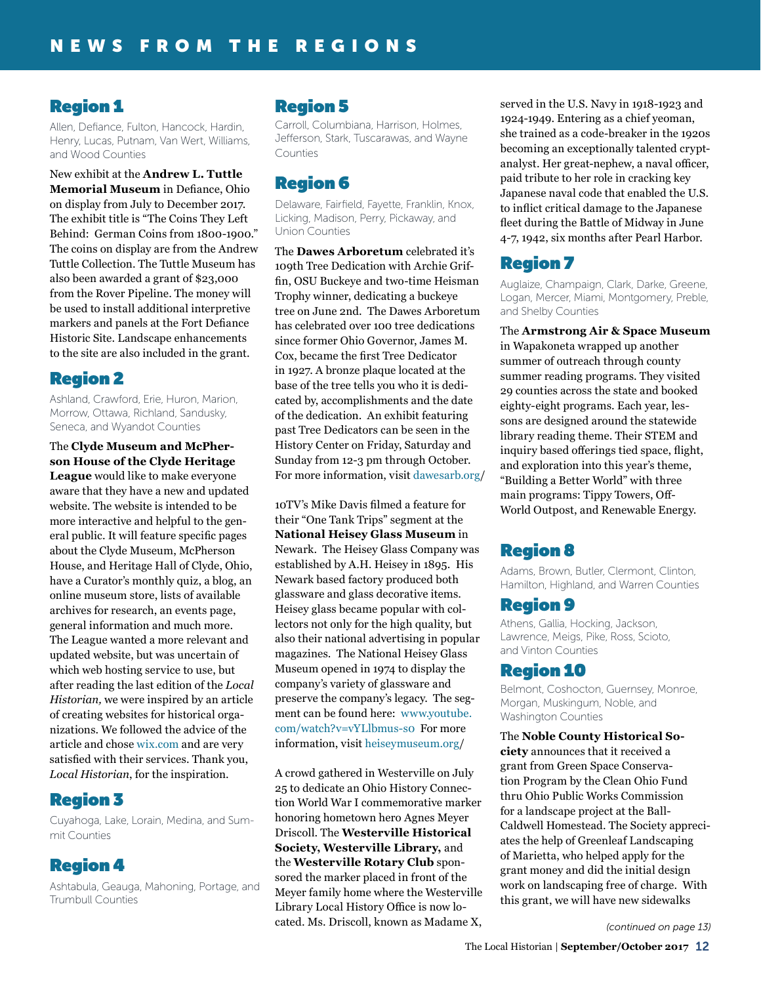# Region 1

Allen, Defiance, Fulton, Hancock, Hardin, Henry, Lucas, Putnam, Van Wert, Williams, and Wood Counties

New exhibit at the **Andrew L. Tuttle Memorial Museum** in Defiance, Ohio on display from July to December 2017. The exhibit title is "The Coins They Left Behind: German Coins from 1800-1900." The coins on display are from the Andrew Tuttle Collection. The Tuttle Museum has also been awarded a grant of \$23,000 from the Rover Pipeline. The money will be used to install additional interpretive markers and panels at the Fort Defiance Historic Site. Landscape enhancements to the site are also included in the grant.

# Region 2

Ashland, Crawford, Erie, Huron, Marion, Morrow, Ottawa, Richland, Sandusky, Seneca, and Wyandot Counties

The **Clyde Museum and McPherson House of the Clyde Heritage League** would like to make everyone aware that they have a new and updated website. The website is intended to be more interactive and helpful to the general public. It will feature specific pages about the Clyde Museum, McPherson House, and Heritage Hall of Clyde, Ohio, have a Curator's monthly quiz, a blog, an online museum store, lists of available archives for research, an events page, general information and much more. The League wanted a more relevant and updated website, but was uncertain of which web hosting service to use, but after reading the last edition of the *Local Historian,* we were inspired by an article of creating websites for historical organizations. We followed the advice of the article and chose [wix.com](http://wix.com) and are very satisfied with their services. Thank you, *Local Historian*, for the inspiration.

# Region 3

Cuyahoga, Lake, Lorain, Medina, and Summit Counties

# Region 4

Ashtabula, Geauga, Mahoning, Portage, and Trumbull Counties

# Region 5

Carroll, Columbiana, Harrison, Holmes, Jefferson, Stark, Tuscarawas, and Wayne Counties

# Region 6

Delaware, Fairfield, Fayette, Franklin, Knox, Licking, Madison, Perry, Pickaway, and Union Counties

The **Dawes Arboretum** celebrated it's 109th Tree Dedication with Archie Griffin, OSU Buckeye and two-time Heisman Trophy winner, dedicating a buckeye tree on June 2nd. The Dawes Arboretum has celebrated over 100 tree dedications since former Ohio Governor, James M. Cox, became the first Tree Dedicator in 1927. A bronze plaque located at the base of the tree tells you who it is dedicated by, accomplishments and the date of the dedication. An exhibit featuring past Tree Dedicators can be seen in the History Center on Friday, Saturday and Sunday from 12-3 pm through October. For more information, visit [dawesarb.org](http://dawesarb.org)/

10TV's Mike Davis filmed a feature for their "One Tank Trips" segment at the **National Heisey Glass Museum** in Newark. The Heisey Glass Company was established by A.H. Heisey in 1895. His Newark based factory produced both glassware and glass decorative items. Heisey glass became popular with collectors not only for the high quality, but also their national advertising in popular magazines. The National Heisey Glass Museum opened in 1974 to display the company's variety of glassware and preserve the company's legacy. The segment can be found here: [www.youtube.](https://www.youtube.com/watch?v=vYLlbmus-s0) [com/watch?v=vYLlbmus-s0](https://www.youtube.com/watch?v=vYLlbmus-s0) For more information, visit [heiseymuseum.org/](http://heiseymuseum.org)

A crowd gathered in Westerville on July 25 to dedicate an Ohio History Connection World War I commemorative marker honoring hometown hero Agnes Meyer Driscoll. The **Westerville Historical Society, Westerville Library,** and the **Westerville Rotary Club** sponsored the marker placed in front of the Meyer family home where the Westerville Library Local History Office is now located. Ms. Driscoll, known as Madame X,

served in the U.S. Navy in 1918-1923 and 1924-1949. Entering as a chief yeoman, she trained as a code-breaker in the 1920s becoming an exceptionally talented cryptanalyst. Her great-nephew, a naval officer, paid tribute to her role in cracking key Japanese naval code that enabled the U.S. to inflict critical damage to the Japanese fleet during the Battle of Midway in June 4-7, 1942, six months after Pearl Harbor.

# Region 7

Auglaize, Champaign, Clark, Darke, Greene, Logan, Mercer, Miami, Montgomery, Preble, and Shelby Counties

The **Armstrong Air & Space Museum** in Wapakoneta wrapped up another summer of outreach through county summer reading programs. They visited 29 counties across the state and booked eighty-eight programs. Each year, lessons are designed around the statewide library reading theme. Their STEM and inquiry based offerings tied space, flight, and exploration into this year's theme, "Building a Better World" with three main programs: Tippy Towers, Off-World Outpost, and Renewable Energy.

# Region 8

Adams, Brown, Butler, Clermont, Clinton, Hamilton, Highland, and Warren Counties

# Region 9

Athens, Gallia, Hocking, Jackson, Lawrence, Meigs, Pike, Ross, Scioto, and Vinton Counties

# Region 10

Belmont, Coshocton, Guernsey, Monroe, Morgan, Muskingum, Noble, and Washington Counties

The **Noble County Historical Society** announces that it received a grant from Green Space Conservation Program by the Clean Ohio Fund thru Ohio Public Works Commission for a landscape project at the Ball-Caldwell Homestead. The Society appreciates the help of Greenleaf Landscaping of Marietta, who helped apply for the grant money and did the initial design work on landscaping free of charge. With this grant, we will have new sidewalks

*(continued on page 13)*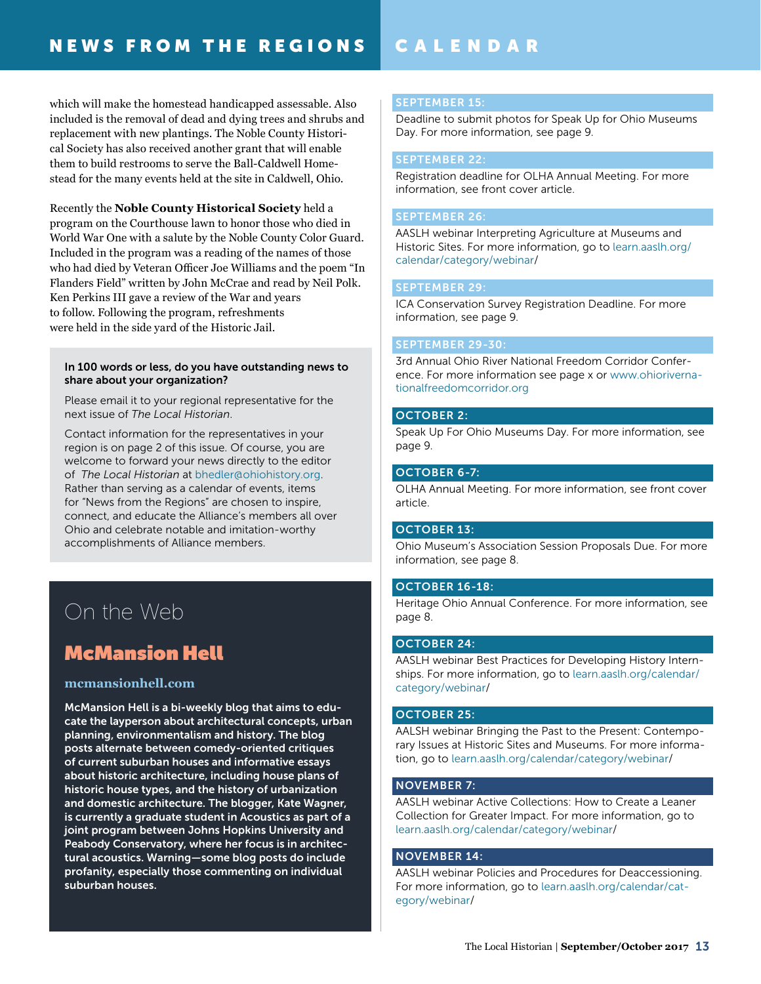# CALENDAR

which will make the homestead handicapped assessable. Also included is the removal of dead and dying trees and shrubs and replacement with new plantings. The Noble County Historical Society has also received another grant that will enable them to build restrooms to serve the Ball-Caldwell Homestead for the many events held at the site in Caldwell, Ohio.

Recently the **Noble County Historical Society** held a program on the Courthouse lawn to honor those who died in World War One with a salute by the Noble County Color Guard. Included in the program was a reading of the names of those who had died by Veteran Officer Joe Williams and the poem "In Flanders Field" written by John McCrae and read by Neil Polk. Ken Perkins III gave a review of the War and years to follow. Following the program, refreshments were held in the side yard of the Historic Jail.

### In 100 words or less, do you have outstanding news to share about your organization?

Please email it to your regional representative for the next issue of *The Local Historian*.

Contact information for the representatives in your region is on page 2 of this issue. Of course, you are welcome to forward your news directly to the editor of *The Local Historian* at bhedle[r@ohiohistory.org.](mailto:arohmiller%40ohiohistory.org?subject=) Rather than serving as a calendar of events, items for "News from the Regions" are chosen to inspire, connect, and educate the Alliance's members all over Ohio and celebrate notable and imitation-worthy accomplishments of Alliance members.

# On the Web

# McMansion Hell

# **[mcmansionhell.com](http://mcmansionhell.com)**

McMansion Hell is a bi-weekly blog that aims to educate the layperson about architectural concepts, urban planning, environmentalism and history. The blog posts alternate between comedy-oriented critiques of current suburban houses and informative essays about historic architecture, including house plans of historic house types, and the history of urbanization and domestic architecture. The blogger, Kate Wagner, is currently a graduate student in Acoustics as part of a joint program between Johns Hopkins University and Peabody Conservatory, where her focus is in architectural acoustics. Warning—some blog posts do include profanity, especially those commenting on individual suburban houses.

## SEPTEMBER 15:

Deadline to submit photos for Speak Up for Ohio Museums Day. For more information, see page 9.

### SEPTEMBER 22:

Registration deadline for OLHA Annual Meeting. For more information, see front cover article.

### SEPTEMBER 26:

AASLH webinar Interpreting Agriculture at Museums and Historic Sites. For more information, go to [learn.aaslh.org/](http://learn.aaslh.org/calendar/category/webinar) [calendar/category/webinar/](http://learn.aaslh.org/calendar/category/webinar)

## SEPTEMBER 29:

ICA Conservation Survey Registration Deadline. For more information, see page 9.

### SEPTEMBER 29-30:

3rd Annual Ohio River National Freedom Corridor Conference. For more information see page x or [www.ohioriverna](http://www.ohiorivernationalfreedomcorridor.org)[tionalfreedomcorridor.org](http://www.ohiorivernationalfreedomcorridor.org)

#### OCTOBER 2:

Speak Up For Ohio Museums Day. For more information, see page 9.

## OCTOBER 6-7:

OLHA Annual Meeting. For more information, see front cover article.

#### OCTOBER 13:

Ohio Museum's Association Session Proposals Due. For more information, see page 8.

#### OCTOBER 16-18:

Heritage Ohio Annual Conference. For more information, see page 8.

# OCTOBER 24:

AASLH webinar Best Practices for Developing History Internships. For more information, go to [learn.aaslh.org/calendar/](http://learn.aaslh.org/calendar/category/webinar) [category/webinar/](http://learn.aaslh.org/calendar/category/webinar)

#### OCTOBER 25:

AALSH webinar Bringing the Past to the Present: Contemporary Issues at Historic Sites and Museums. For more information, go to [learn.aaslh.org/calendar/category/webinar](http://learn.aaslh.org/calendar/category/webinar)/

#### NOVEMBER 7:

AASLH webinar Active Collections: How to Create a Leaner Collection for Greater Impact. For more information, go to [learn.aaslh.org/calendar/category/webinar](http://learn.aaslh.org/calendar/category/webinar)/

#### NOVEMBER 14:

AASLH webinar Policies and Procedures for Deaccessioning. For more information, go to [learn.aaslh.org/calendar/cat](http://learn.aaslh.org/calendar/category/webinar)[egory/webinar](http://learn.aaslh.org/calendar/category/webinar)/